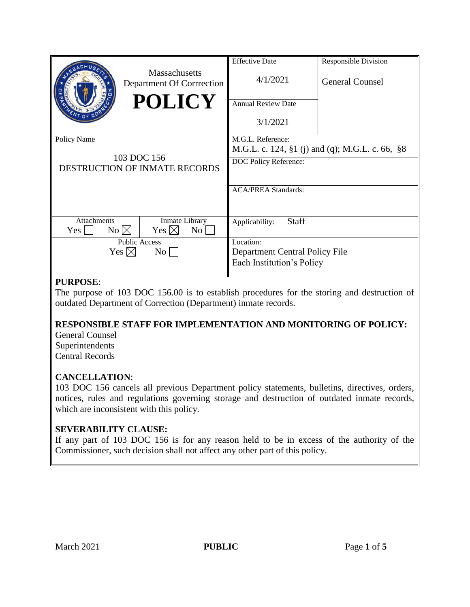|                                                                                          | <b>Effective Date</b>                           | <b>Responsible Division</b> |
|------------------------------------------------------------------------------------------|-------------------------------------------------|-----------------------------|
| <b>Massachusetts</b><br>Department Of Corrrection                                        | 4/1/2021                                        | <b>General Counsel</b>      |
| <b>POLICY</b>                                                                            | <b>Annual Review Date</b>                       |                             |
|                                                                                          | 3/1/2021                                        |                             |
| Policy Name                                                                              | M.G.L. Reference:                               |                             |
| 103 DOC 156<br>DESTRUCTION OF INMATE RECORDS                                             | M.G.L. c. 124, §1 (j) and (q); M.G.L. c. 66, §8 |                             |
|                                                                                          | DOC Policy Reference:                           |                             |
|                                                                                          | <b>ACA/PREA Standards:</b>                      |                             |
|                                                                                          |                                                 |                             |
| <b>Attachments</b><br>Inmate Library<br>No $\boxtimes$<br>Yes $\boxtimes$<br>Yes  <br>No | <b>Staff</b><br>Applicability:                  |                             |
| <b>Public Access</b>                                                                     | Location:                                       |                             |
| Yes $\boxtimes$<br>$\rm{No}$                                                             | Department Central Policy File                  |                             |
|                                                                                          | Each Institution's Policy                       |                             |
|                                                                                          |                                                 |                             |

### **PURPOSE**:

The purpose of 103 DOC 156.00 is to establish procedures for the storing and destruction of outdated Department of Correction (Department) inmate records.

# **RESPONSIBLE STAFF FOR IMPLEMENTATION AND MONITORING OF POLICY:**

General Counsel Superintendents Central Records

# **CANCELLATION**:

103 DOC 156 cancels all previous Department policy statements, bulletins, directives, orders, notices, rules and regulations governing storage and destruction of outdated inmate records, which are inconsistent with this policy.

# **SEVERABILITY CLAUSE:**

If any part of 103 DOC 156 is for any reason held to be in excess of the authority of the Commissioner, such decision shall not affect any other part of this policy.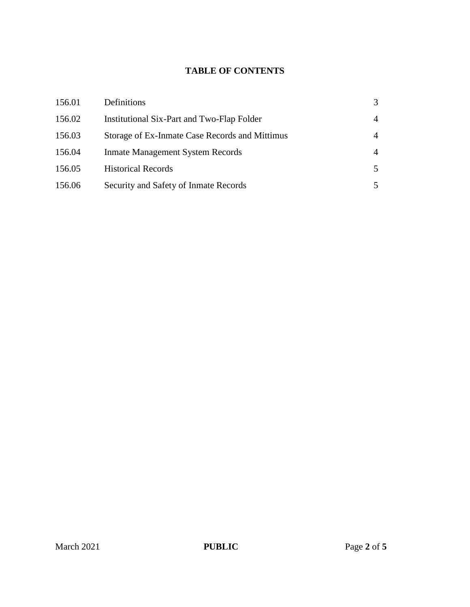# **TABLE OF CONTENTS**

| 156.01 | Definitions                                    | 3 |
|--------|------------------------------------------------|---|
| 156.02 | Institutional Six-Part and Two-Flap Folder     | 4 |
| 156.03 | Storage of Ex-Inmate Case Records and Mittimus | 4 |
| 156.04 | <b>Inmate Management System Records</b>        | 4 |
| 156.05 | <b>Historical Records</b>                      | 5 |
| 156.06 | Security and Safety of Inmate Records          |   |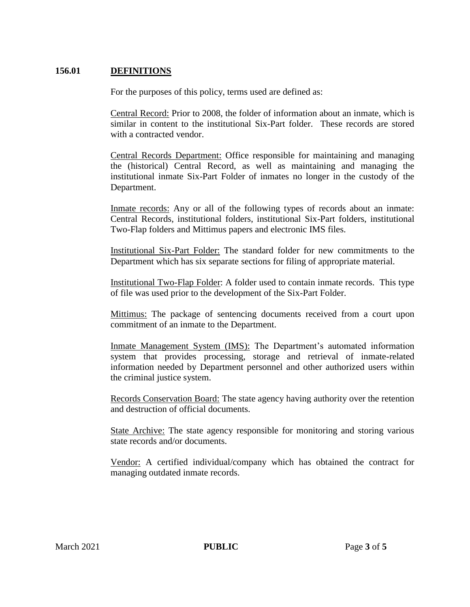### **156.01 DEFINITIONS**

For the purposes of this policy, terms used are defined as:

Central Record: Prior to 2008, the folder of information about an inmate, which is similar in content to the institutional Six-Part folder. These records are stored with a contracted vendor.

Central Records Department: Office responsible for maintaining and managing the (historical) Central Record, as well as maintaining and managing the institutional inmate Six-Part Folder of inmates no longer in the custody of the Department.

Inmate records: Any or all of the following types of records about an inmate: Central Records, institutional folders, institutional Six-Part folders, institutional Two-Flap folders and Mittimus papers and electronic IMS files.

Institutional Six-Part Folder: The standard folder for new commitments to the Department which has six separate sections for filing of appropriate material.

Institutional Two-Flap Folder: A folder used to contain inmate records. This type of file was used prior to the development of the Six-Part Folder.

Mittimus: The package of sentencing documents received from a court upon commitment of an inmate to the Department.

Inmate Management System (IMS): The Department's automated information system that provides processing, storage and retrieval of inmate-related information needed by Department personnel and other authorized users within the criminal justice system.

Records Conservation Board: The state agency having authority over the retention and destruction of official documents.

State Archive: The state agency responsible for monitoring and storing various state records and/or documents.

Vendor: A certified individual/company which has obtained the contract for managing outdated inmate records.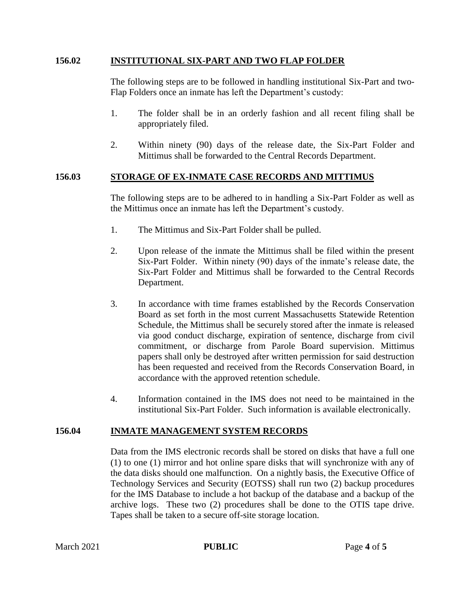#### **156.02 INSTITUTIONAL SIX-PART AND TWO FLAP FOLDER**

The following steps are to be followed in handling institutional Six-Part and two-Flap Folders once an inmate has left the Department's custody:

- 1. The folder shall be in an orderly fashion and all recent filing shall be appropriately filed.
- 2. Within ninety (90) days of the release date, the Six-Part Folder and Mittimus shall be forwarded to the Central Records Department.

### **156.03 STORAGE OF EX-INMATE CASE RECORDS AND MITTIMUS**

The following steps are to be adhered to in handling a Six-Part Folder as well as the Mittimus once an inmate has left the Department's custody.

- 1. The Mittimus and Six-Part Folder shall be pulled.
- 2. Upon release of the inmate the Mittimus shall be filed within the present Six-Part Folder. Within ninety (90) days of the inmate's release date, the Six-Part Folder and Mittimus shall be forwarded to the Central Records Department.
- 3. In accordance with time frames established by the Records Conservation Board as set forth in the most current Massachusetts Statewide Retention Schedule, the Mittimus shall be securely stored after the inmate is released via good conduct discharge, expiration of sentence, discharge from civil commitment, or discharge from Parole Board supervision. Mittimus papers shall only be destroyed after written permission for said destruction has been requested and received from the Records Conservation Board, in accordance with the approved retention schedule.
- 4. Information contained in the IMS does not need to be maintained in the institutional Six-Part Folder. Such information is available electronically.

#### **156.04 INMATE MANAGEMENT SYSTEM RECORDS**

Data from the IMS electronic records shall be stored on disks that have a full one (1) to one (1) mirror and hot online spare disks that will synchronize with any of the data disks should one malfunction. On a nightly basis, the Executive Office of Technology Services and Security (EOTSS) shall run two (2) backup procedures for the IMS Database to include a hot backup of the database and a backup of the archive logs. These two (2) procedures shall be done to the OTIS tape drive. Tapes shall be taken to a secure off-site storage location.